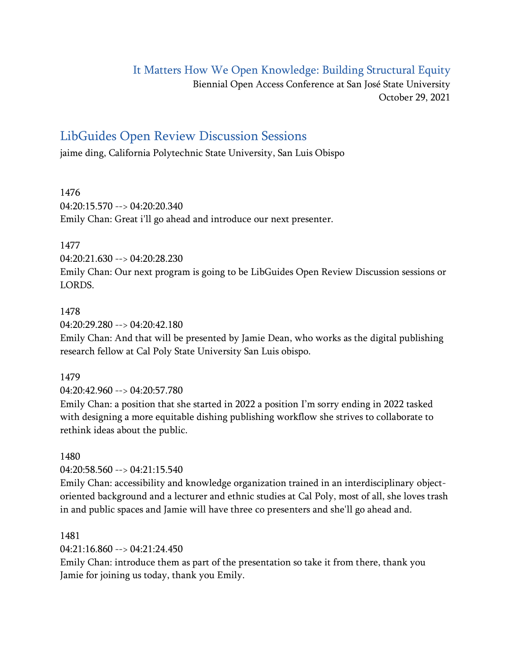# It Matters How We Open Knowledge: Building Structural Equity

Biennial Open Access Conference at San José State University October 29, 2021

# LibGuides Open Review Discussion Sessions

jaime ding, California Polytechnic State University, San Luis Obispo

1476 04:20:15.570 --> 04:20:20.340 Emily Chan: Great i'll go ahead and introduce our next presenter.

1477

04:20:21.630 --> 04:20:28.230

Emily Chan: Our next program is going to be LibGuides Open Review Discussion sessions or LORDS.

#### 1478

04:20:29.280 --> 04:20:42.180

Emily Chan: And that will be presented by Jamie Dean, who works as the digital publishing research fellow at Cal Poly State University San Luis obispo.

1479

04:20:42.960 --> 04:20:57.780

Emily Chan: a position that she started in 2022 a position I'm sorry ending in 2022 tasked with designing a more equitable dishing publishing workflow she strives to collaborate to rethink ideas about the public.

#### 1480

04:20:58.560 --> 04:21:15.540

Emily Chan: accessibility and knowledge organization trained in an interdisciplinary objectoriented background and a lecturer and ethnic studies at Cal Poly, most of all, she loves trash in and public spaces and Jamie will have three co presenters and she'll go ahead and.

#### 1481

 $04.21.16.860 -> 04.21.24.450$ 

Emily Chan: introduce them as part of the presentation so take it from there, thank you Jamie for joining us today, thank you Emily.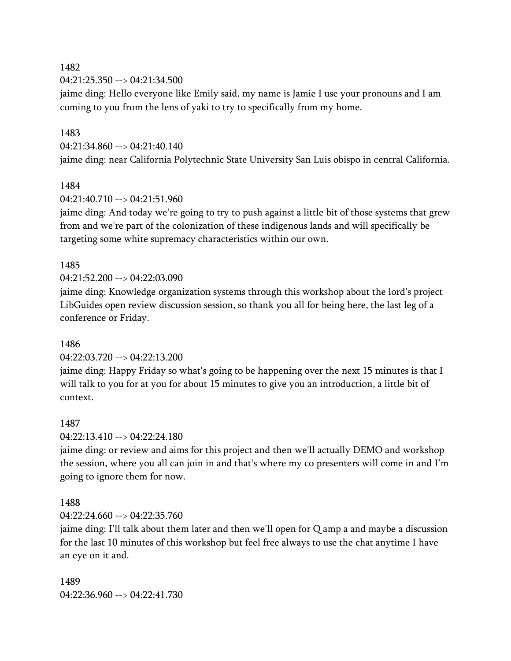04:21:25.350 --> 04:21:34.500

jaime ding: Hello everyone like Emily said, my name is Jamie I use your pronouns and I am coming to you from the lens of yaki to try to specifically from my home.

#### 1483

04:21:34.860 --> 04:21:40.140

jaime ding: near California Polytechnic State University San Luis obispo in central California.

## 1484

 $04.21.40.710 -> 04.21.51.960$ 

jaime ding: And today we're going to try to push against a little bit of those systems that grew from and we're part of the colonization of these indigenous lands and will specifically be targeting some white supremacy characteristics within our own.

## 1485

04:21:52.200 --> 04:22:03.090

jaime ding: Knowledge organization systems through this workshop about the lord's project LibGuides open review discussion session, so thank you all for being here, the last leg of a conference or Friday.

## 1486

#### 04:22:03.720 --> 04:22:13.200

jaime ding: Happy Friday so what's going to be happening over the next 15 minutes is that I will talk to you for at you for about 15 minutes to give you an introduction, a little bit of context.

#### 1487

#### 04:22:13.410 --> 04:22:24.180

jaime ding: or review and aims for this project and then we'll actually DEMO and workshop the session, where you all can join in and that's where my co presenters will come in and I'm going to ignore them for now.

#### 1488

#### $04.22.24660 -> 04.22.35760$

jaime ding: I'll talk about them later and then we'll open for Q amp a and maybe a discussion for the last 10 minutes of this workshop but feel free always to use the chat anytime I have an eye on it and.

1489 04:22:36.960 --> 04:22:41.730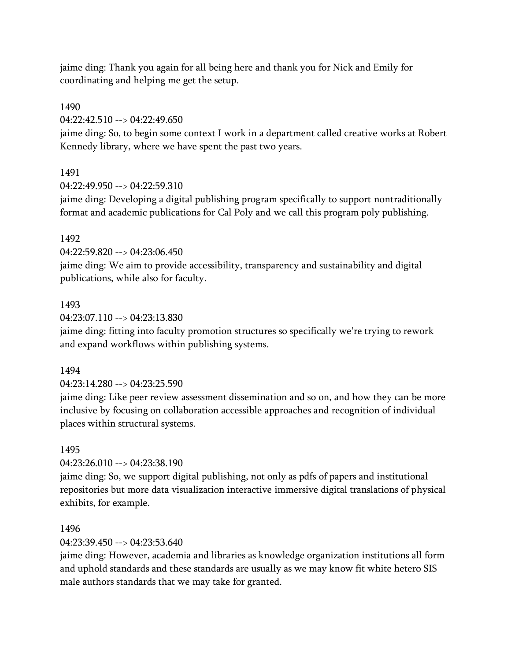jaime ding: Thank you again for all being here and thank you for Nick and Emily for coordinating and helping me get the setup.

## 1490

04:22:42.510 --> 04:22:49.650

jaime ding: So, to begin some context I work in a department called creative works at Robert Kennedy library, where we have spent the past two years.

## 1491

04:22:49.950 --> 04:22:59.310

jaime ding: Developing a digital publishing program specifically to support nontraditionally format and academic publications for Cal Poly and we call this program poly publishing.

## 1492

04:22:59.820 --> 04:23:06.450

jaime ding: We aim to provide accessibility, transparency and sustainability and digital publications, while also for faculty.

## 1493

04:23:07.110 --> 04:23:13.830

jaime ding: fitting into faculty promotion structures so specifically we're trying to rework and expand workflows within publishing systems.

#### 1494

04:23:14.280 --> 04:23:25.590

jaime ding: Like peer review assessment dissemination and so on, and how they can be more inclusive by focusing on collaboration accessible approaches and recognition of individual places within structural systems.

## 1495

04:23:26.010 --> 04:23:38.190

jaime ding: So, we support digital publishing, not only as pdfs of papers and institutional repositories but more data visualization interactive immersive digital translations of physical exhibits, for example.

## 1496

#### 04:23:39.450 --> 04:23:53.640

jaime ding: However, academia and libraries as knowledge organization institutions all form and uphold standards and these standards are usually as we may know fit white hetero SIS male authors standards that we may take for granted.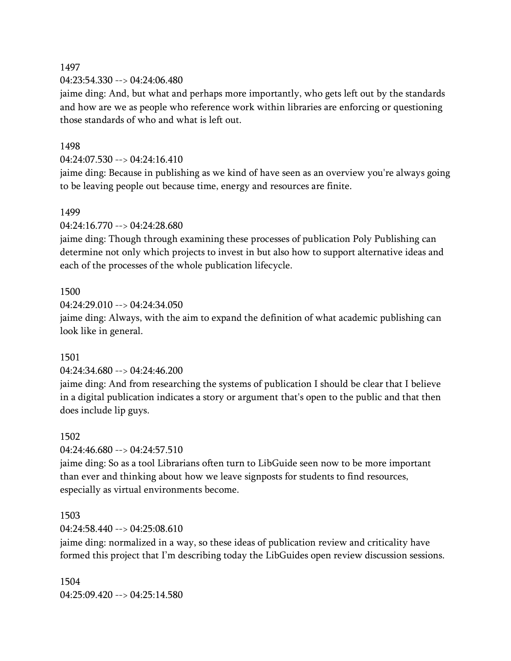04:23:54.330 --> 04:24:06.480

jaime ding: And, but what and perhaps more importantly, who gets left out by the standards and how are we as people who reference work within libraries are enforcing or questioning those standards of who and what is left out.

#### 1498

04:24:07.530 --> 04:24:16.410

jaime ding: Because in publishing as we kind of have seen as an overview you're always going to be leaving people out because time, energy and resources are finite.

#### 1499

04:24:16.770 --> 04:24:28.680

jaime ding: Though through examining these processes of publication Poly Publishing can determine not only which projects to invest in but also how to support alternative ideas and each of the processes of the whole publication lifecycle.

#### 1500

 $04:24:29.010 -> 04:24:34.050$ 

jaime ding: Always, with the aim to expand the definition of what academic publishing can look like in general.

#### 1501

#### 04:24:34.680 --> 04:24:46.200

jaime ding: And from researching the systems of publication I should be clear that I believe in a digital publication indicates a story or argument that's open to the public and that then does include lip guys.

#### 1502

04:24:46.680 --> 04:24:57.510

jaime ding: So as a tool Librarians often turn to LibGuide seen now to be more important than ever and thinking about how we leave signposts for students to find resources, especially as virtual environments become.

#### 1503

04:24:58.440 --> 04:25:08.610

jaime ding: normalized in a way, so these ideas of publication review and criticality have formed this project that I'm describing today the LibGuides open review discussion sessions.

1504 04:25:09.420 --> 04:25:14.580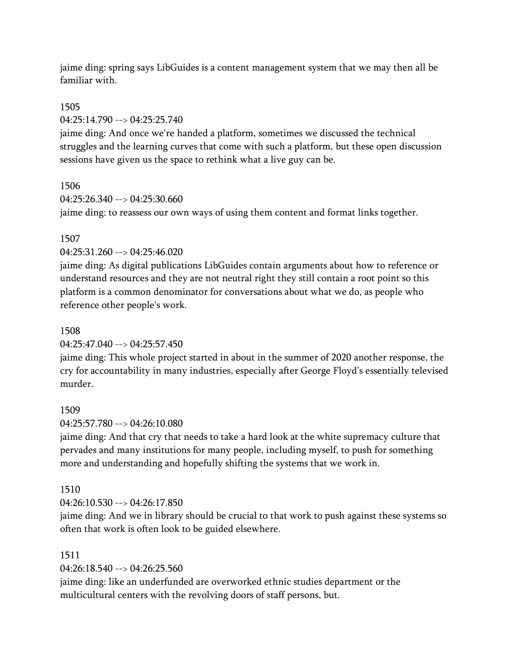jaime ding: spring says LibGuides is a content management system that we may then all be familiar with.

## 1505

04:25:14.790 --> 04:25:25.740

jaime ding: And once we're handed a platform, sometimes we discussed the technical struggles and the learning curves that come with such a platform, but these open discussion sessions have given us the space to rethink what a live guy can be.

## 1506

 $04:25:26.340 \rightarrow 04:25:30.660$ 

jaime ding: to reassess our own ways of using them content and format links together.

## 1507

04:25:31.260 --> 04:25:46.020

jaime ding: As digital publications LibGuides contain arguments about how to reference or understand resources and they are not neutral right they still contain a root point so this platform is a common denominator for conversations about what we do, as people who reference other people's work.

## 1508

## 04:25:47.040 --> 04:25:57.450

jaime ding: This whole project started in about in the summer of 2020 another response, the cry for accountability in many industries, especially after George Floyd's essentially televised murder.

## 1509

04:25:57.780 --> 04:26:10.080

jaime ding: And that cry that needs to take a hard look at the white supremacy culture that pervades and many institutions for many people, including myself, to push for something more and understanding and hopefully shifting the systems that we work in.

## 1510

04:26:10.530 --> 04:26:17.850

jaime ding: And we in library should be crucial to that work to push against these systems so often that work is often look to be guided elsewhere.

#### 1511

04:26:18.540 --> 04:26:25.560

jaime ding: like an underfunded are overworked ethnic studies department or the multicultural centers with the revolving doors of staff persons, but.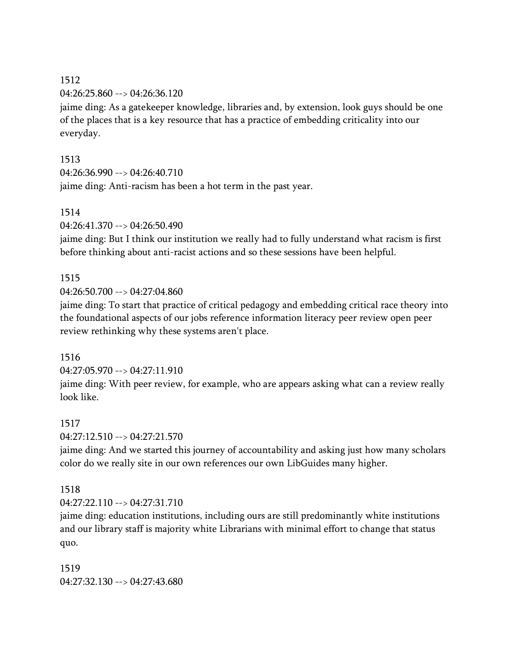04:26:25.860 --> 04:26:36.120

jaime ding: As a gatekeeper knowledge, libraries and, by extension, look guys should be one of the places that is a key resource that has a practice of embedding criticality into our everyday.

## 1513

04:26:36.990 --> 04:26:40.710

jaime ding: Anti-racism has been a hot term in the past year.

## 1514

04:26:41.370 --> 04:26:50.490

jaime ding: But I think our institution we really had to fully understand what racism is first before thinking about anti-racist actions and so these sessions have been helpful.

## 1515

04:26:50.700 --> 04:27:04.860

jaime ding: To start that practice of critical pedagogy and embedding critical race theory into the foundational aspects of our jobs reference information literacy peer review open peer review rethinking why these systems aren't place.

## 1516

04:27:05.970 --> 04:27:11.910

jaime ding: With peer review, for example, who are appears asking what can a review really look like.

## 1517

04:27:12.510 --> 04:27:21.570

jaime ding: And we started this journey of accountability and asking just how many scholars color do we really site in our own references our own LibGuides many higher.

## 1518

04:27:22.110 --> 04:27:31.710

jaime ding: education institutions, including ours are still predominantly white institutions and our library staff is majority white Librarians with minimal effort to change that status quo.

1519 04:27:32.130 --> 04:27:43.680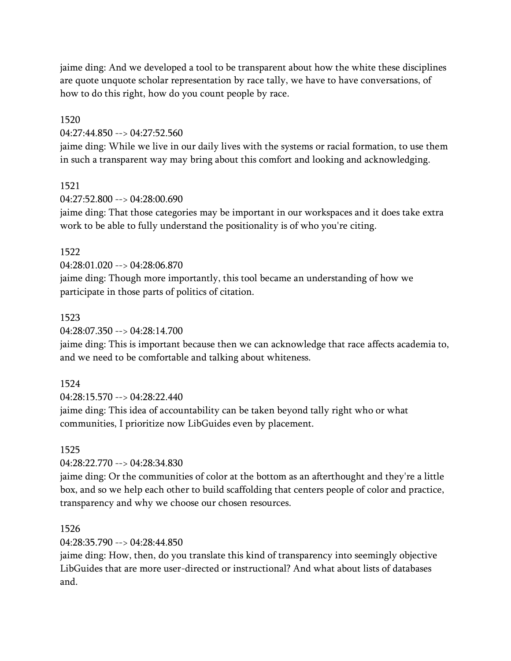jaime ding: And we developed a tool to be transparent about how the white these disciplines are quote unquote scholar representation by race tally, we have to have conversations, of how to do this right, how do you count people by race.

#### 1520

04:27:44.850 --> 04:27:52.560

jaime ding: While we live in our daily lives with the systems or racial formation, to use them in such a transparent way may bring about this comfort and looking and acknowledging.

## 1521

 $04.27.52.800 -52.04.28.00.690$ 

jaime ding: That those categories may be important in our workspaces and it does take extra work to be able to fully understand the positionality is of who you're citing.

## 1522

04:28:01.020 --> 04:28:06.870

jaime ding: Though more importantly, this tool became an understanding of how we participate in those parts of politics of citation.

## 1523

04:28:07.350 --> 04:28:14.700

jaime ding: This is important because then we can acknowledge that race affects academia to, and we need to be comfortable and talking about whiteness.

## 1524

04:28:15.570 --> 04:28:22.440

jaime ding: This idea of accountability can be taken beyond tally right who or what communities, I prioritize now LibGuides even by placement.

#### 1525

04:28:22.770 --> 04:28:34.830

jaime ding: Or the communities of color at the bottom as an afterthought and they're a little box, and so we help each other to build scaffolding that centers people of color and practice, transparency and why we choose our chosen resources.

#### 1526

04:28:35.790 --> 04:28:44.850

jaime ding: How, then, do you translate this kind of transparency into seemingly objective LibGuides that are more user-directed or instructional? And what about lists of databases and.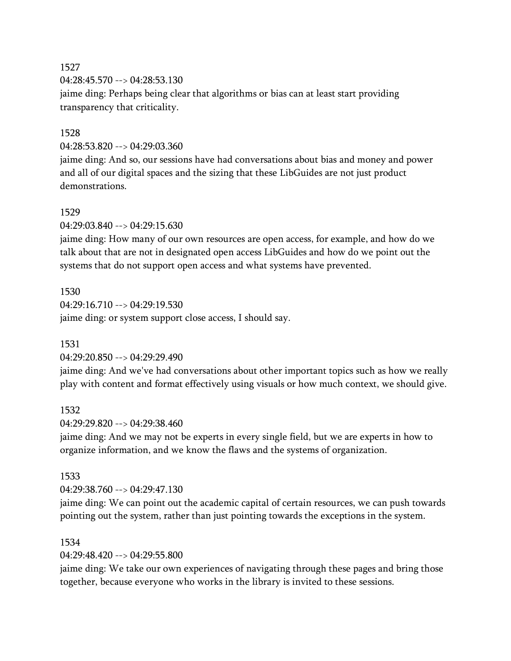04:28:45.570 --> 04:28:53.130 jaime ding: Perhaps being clear that algorithms or bias can at least start providing transparency that criticality.

## 1528

04:28:53.820 --> 04:29:03.360

jaime ding: And so, our sessions have had conversations about bias and money and power and all of our digital spaces and the sizing that these LibGuides are not just product demonstrations.

## 1529

04:29:03.840 --> 04:29:15.630

jaime ding: How many of our own resources are open access, for example, and how do we talk about that are not in designated open access LibGuides and how do we point out the systems that do not support open access and what systems have prevented.

# 1530  $04:29:16.710 \rightarrow 04:29:19.530$ jaime ding: or system support close access, I should say.

## 1531

#### 04:29:20.850 --> 04:29:29.490

jaime ding: And we've had conversations about other important topics such as how we really play with content and format effectively using visuals or how much context, we should give.

#### 1532

 $04:29:29.820 \rightarrow 04:29:38.460$ 

jaime ding: And we may not be experts in every single field, but we are experts in how to organize information, and we know the flaws and the systems of organization.

#### 1533

04:29:38.760 --> 04:29:47.130

jaime ding: We can point out the academic capital of certain resources, we can push towards pointing out the system, rather than just pointing towards the exceptions in the system.

#### 1534

04:29:48.420 --> 04:29:55.800

jaime ding: We take our own experiences of navigating through these pages and bring those together, because everyone who works in the library is invited to these sessions.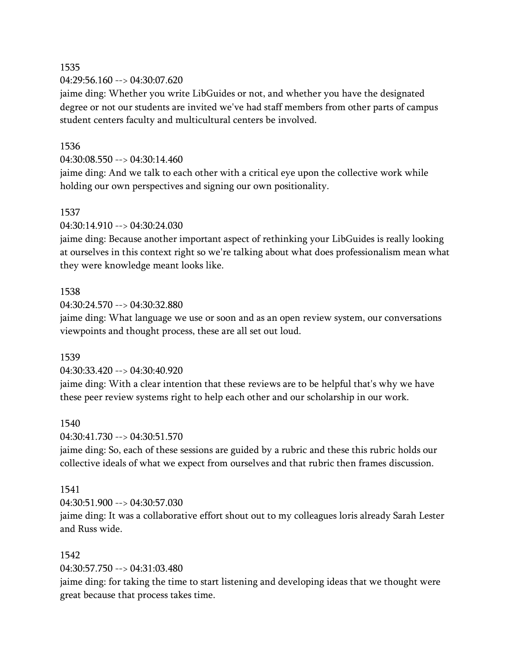04:29:56.160 --> 04:30:07.620

jaime ding: Whether you write LibGuides or not, and whether you have the designated degree or not our students are invited we've had staff members from other parts of campus student centers faculty and multicultural centers be involved.

## 1536

04:30:08.550 --> 04:30:14.460

jaime ding: And we talk to each other with a critical eye upon the collective work while holding our own perspectives and signing our own positionality.

## 1537

04:30:14.910 --> 04:30:24.030

jaime ding: Because another important aspect of rethinking your LibGuides is really looking at ourselves in this context right so we're talking about what does professionalism mean what they were knowledge meant looks like.

## 1538

04:30:24.570 --> 04:30:32.880

jaime ding: What language we use or soon and as an open review system, our conversations viewpoints and thought process, these are all set out loud.

#### 1539

04:30:33.420 --> 04:30:40.920

jaime ding: With a clear intention that these reviews are to be helpful that's why we have these peer review systems right to help each other and our scholarship in our work.

#### 1540

04:30:41.730 --> 04:30:51.570

jaime ding: So, each of these sessions are guided by a rubric and these this rubric holds our collective ideals of what we expect from ourselves and that rubric then frames discussion.

#### 1541

04:30:51.900 --> 04:30:57.030

jaime ding: It was a collaborative effort shout out to my colleagues loris already Sarah Lester and Russ wide.

#### 1542

04:30:57.750 --> 04:31:03.480

jaime ding: for taking the time to start listening and developing ideas that we thought were great because that process takes time.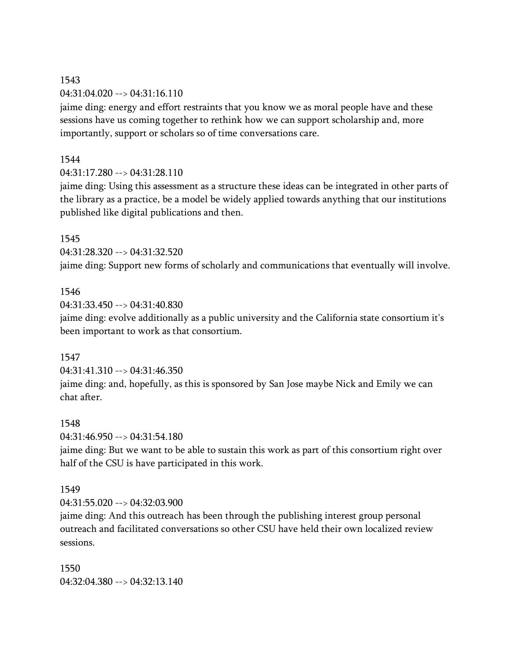04:31:04.020 --> 04:31:16.110

jaime ding: energy and effort restraints that you know we as moral people have and these sessions have us coming together to rethink how we can support scholarship and, more importantly, support or scholars so of time conversations care.

## 1544

 $04:31:17.280 \rightarrow 04:31:28.110$ 

jaime ding: Using this assessment as a structure these ideas can be integrated in other parts of the library as a practice, be a model be widely applied towards anything that our institutions published like digital publications and then.

## 1545

04:31:28.320 --> 04:31:32.520

jaime ding: Support new forms of scholarly and communications that eventually will involve.

## 1546

04:31:33.450 --> 04:31:40.830

jaime ding: evolve additionally as a public university and the California state consortium it's been important to work as that consortium.

#### 1547

04:31:41.310 --> 04:31:46.350 jaime ding: and, hopefully, as this is sponsored by San Jose maybe Nick and Emily we can chat after.

#### 1548

04:31:46.950 --> 04:31:54.180

jaime ding: But we want to be able to sustain this work as part of this consortium right over half of the CSU is have participated in this work.

#### 1549

04:31:55.020 --> 04:32:03.900

jaime ding: And this outreach has been through the publishing interest group personal outreach and facilitated conversations so other CSU have held their own localized review sessions.

1550 04:32:04.380 --> 04:32:13.140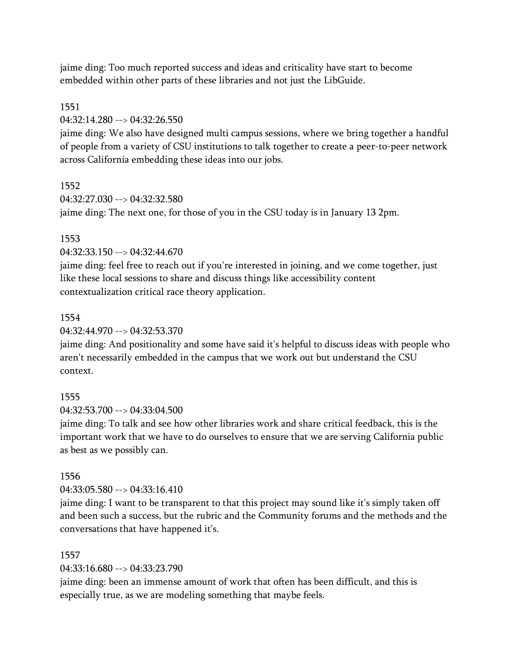jaime ding: Too much reported success and ideas and criticality have start to become embedded within other parts of these libraries and not just the LibGuide.

## 1551

04:32:14.280 --> 04:32:26.550

jaime ding: We also have designed multi campus sessions, where we bring together a handful of people from a variety of CSU institutions to talk together to create a peer-to-peer network across California embedding these ideas into our jobs.

## 1552

 $04.32.27.030 -5.04.32.32.580$ jaime ding: The next one, for those of you in the CSU today is in January 13 2pm.

## 1553

04:32:33.150 --> 04:32:44.670

jaime ding: feel free to reach out if you're interested in joining, and we come together, just like these local sessions to share and discuss things like accessibility content contextualization critical race theory application.

## 1554

04:32:44.970 --> 04:32:53.370

jaime ding: And positionality and some have said it's helpful to discuss ideas with people who aren't necessarily embedded in the campus that we work out but understand the CSU context.

## 1555

04:32:53.700 --> 04:33:04.500

jaime ding: To talk and see how other libraries work and share critical feedback, this is the important work that we have to do ourselves to ensure that we are serving California public as best as we possibly can.

## 1556

 $04:33:05.580 \rightarrow 04:33:16.410$ 

jaime ding: I want to be transparent to that this project may sound like it's simply taken off and been such a success, but the rubric and the Community forums and the methods and the conversations that have happened it's.

#### 1557

04:33:16.680 --> 04:33:23.790

jaime ding: been an immense amount of work that often has been difficult, and this is especially true, as we are modeling something that maybe feels.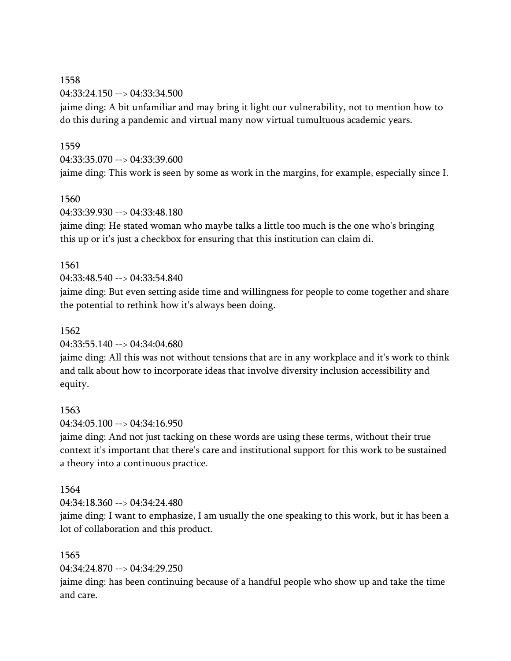04:33:24.150 --> 04:33:34.500

jaime ding: A bit unfamiliar and may bring it light our vulnerability, not to mention how to do this during a pandemic and virtual many now virtual tumultuous academic years.

## 1559

04:33:35.070 --> 04:33:39.600

jaime ding: This work is seen by some as work in the margins, for example, especially since I.

## 1560

04:33:39.930 --> 04:33:48.180

jaime ding: He stated woman who maybe talks a little too much is the one who's bringing this up or it's just a checkbox for ensuring that this institution can claim di.

## 1561

04:33:48.540 --> 04:33:54.840

jaime ding: But even setting aside time and willingness for people to come together and share the potential to rethink how it's always been doing.

## 1562

04:33:55.140 --> 04:34:04.680

jaime ding: All this was not without tensions that are in any workplace and it's work to think and talk about how to incorporate ideas that involve diversity inclusion accessibility and equity.

## 1563

04:34:05.100 --> 04:34:16.950

jaime ding: And not just tacking on these words are using these terms, without their true context it's important that there's care and institutional support for this work to be sustained a theory into a continuous practice.

#### 1564

 $04.34.18.360 -\geq 04.34.24.480$ 

jaime ding: I want to emphasize, I am usually the one speaking to this work, but it has been a lot of collaboration and this product.

## 1565

04:34:24.870 --> 04:34:29.250

jaime ding: has been continuing because of a handful people who show up and take the time and care.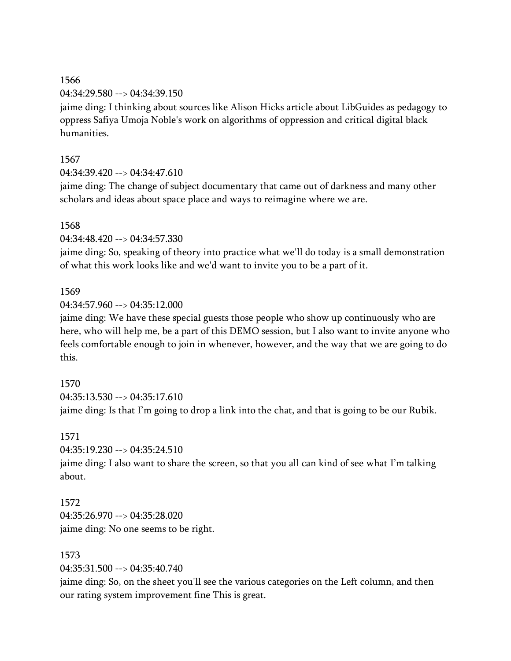#### 04:34:29.580 --> 04:34:39.150

jaime ding: I thinking about sources like Alison Hicks article about LibGuides as pedagogy to oppress Safiya Umoja Noble's work on algorithms of oppression and critical digital black humanities.

## 1567

04:34:39.420 --> 04:34:47.610

jaime ding: The change of subject documentary that came out of darkness and many other scholars and ideas about space place and ways to reimagine where we are.

## 1568

04:34:48.420 --> 04:34:57.330

jaime ding: So, speaking of theory into practice what we'll do today is a small demonstration of what this work looks like and we'd want to invite you to be a part of it.

## 1569

 $04:34:57.960 \rightarrow 04:35:12.000$ 

jaime ding: We have these special guests those people who show up continuously who are here, who will help me, be a part of this DEMO session, but I also want to invite anyone who feels comfortable enough to join in whenever, however, and the way that we are going to do this.

## 1570

 $04:35:13.530 \rightarrow 04:35:17.610$ 

jaime ding: Is that I'm going to drop a link into the chat, and that is going to be our Rubik.

#### 1571

04:35:19.230 --> 04:35:24.510

jaime ding: I also want to share the screen, so that you all can kind of see what I'm talking about.

# 1572

 $04.35.26.970 -> 04.35.28.020$ jaime ding: No one seems to be right.

## 1573

04:35:31.500 --> 04:35:40.740

jaime ding: So, on the sheet you'll see the various categories on the Left column, and then our rating system improvement fine This is great.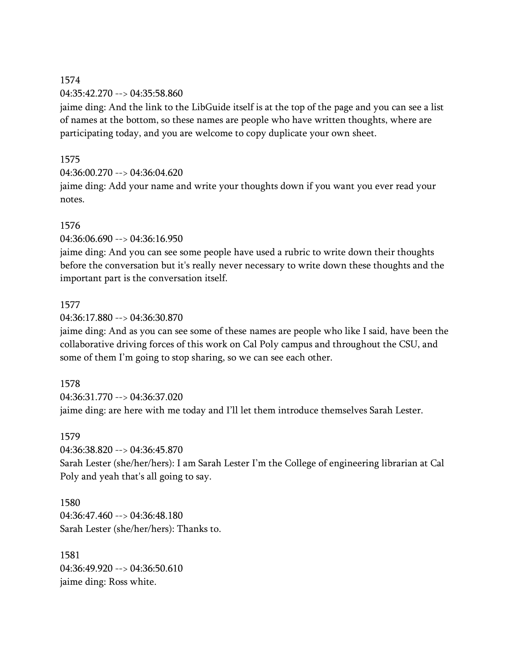04:35:42.270 --> 04:35:58.860

jaime ding: And the link to the LibGuide itself is at the top of the page and you can see a list of names at the bottom, so these names are people who have written thoughts, where are participating today, and you are welcome to copy duplicate your own sheet.

## 1575

04:36:00.270 --> 04:36:04.620

jaime ding: Add your name and write your thoughts down if you want you ever read your notes.

## 1576

04:36:06.690 --> 04:36:16.950

jaime ding: And you can see some people have used a rubric to write down their thoughts before the conversation but it's really never necessary to write down these thoughts and the important part is the conversation itself.

## 1577

04:36:17.880 --> 04:36:30.870

jaime ding: And as you can see some of these names are people who like I said, have been the collaborative driving forces of this work on Cal Poly campus and throughout the CSU, and some of them I'm going to stop sharing, so we can see each other.

## 1578

04:36:31.770 --> 04:36:37.020 jaime ding: are here with me today and I'll let them introduce themselves Sarah Lester.

#### 1579

04:36:38.820 --> 04:36:45.870

Sarah Lester (she/her/hers): I am Sarah Lester I'm the College of engineering librarian at Cal Poly and yeah that's all going to say.

1580  $04.36.47.460 -\ge 04.36.48.180$ Sarah Lester (she/her/hers): Thanks to.

1581 04:36:49.920 --> 04:36:50.610 jaime ding: Ross white.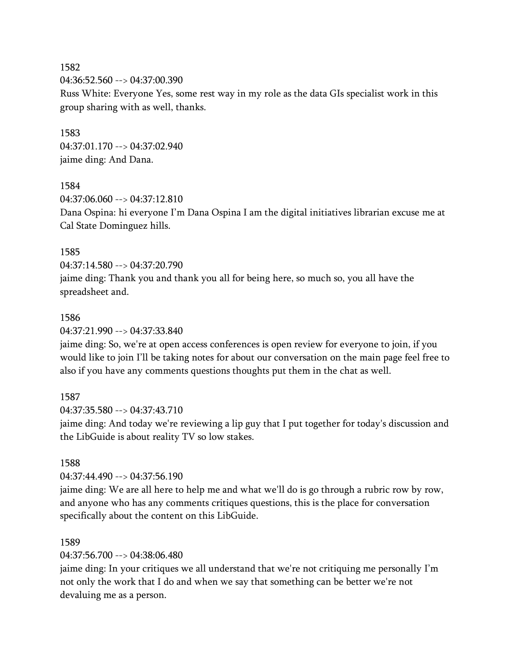1582 04:36:52.560 --> 04:37:00.390 Russ White: Everyone Yes, some rest way in my role as the data GIs specialist work in this group sharing with as well, thanks.

1583 04:37:01.170 --> 04:37:02.940 jaime ding: And Dana.

1584

 $04.37.06.060 -> 04.37.12.810$ Dana Ospina: hi everyone I'm Dana Ospina I am the digital initiatives librarian excuse me at Cal State Dominguez hills.

#### 1585

04:37:14.580 --> 04:37:20.790

jaime ding: Thank you and thank you all for being here, so much so, you all have the spreadsheet and.

#### 1586

04:37:21.990 --> 04:37:33.840

jaime ding: So, we're at open access conferences is open review for everyone to join, if you would like to join I'll be taking notes for about our conversation on the main page feel free to also if you have any comments questions thoughts put them in the chat as well.

#### 1587

04:37:35.580 --> 04:37:43.710

jaime ding: And today we're reviewing a lip guy that I put together for today's discussion and the LibGuide is about reality TV so low stakes.

#### 1588

04:37:44.490 --> 04:37:56.190

jaime ding: We are all here to help me and what we'll do is go through a rubric row by row, and anyone who has any comments critiques questions, this is the place for conversation specifically about the content on this LibGuide.

#### 1589

04:37:56.700 --> 04:38:06.480

jaime ding: In your critiques we all understand that we're not critiquing me personally I'm not only the work that I do and when we say that something can be better we're not devaluing me as a person.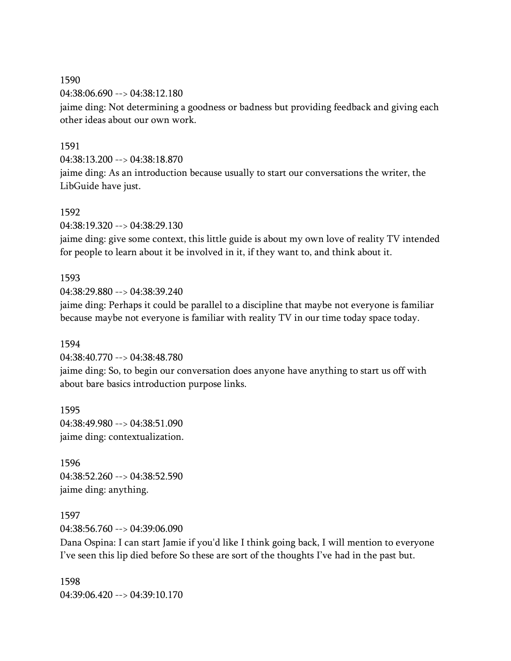04:38:06.690 --> 04:38:12.180 jaime ding: Not determining a goodness or badness but providing feedback and giving each other ideas about our own work.

## 1591

04:38:13.200 --> 04:38:18.870

jaime ding: As an introduction because usually to start our conversations the writer, the LibGuide have just.

#### 1592

04:38:19.320 --> 04:38:29.130

jaime ding: give some context, this little guide is about my own love of reality TV intended for people to learn about it be involved in it, if they want to, and think about it.

#### 1593

04:38:29.880 --> 04:38:39.240

jaime ding: Perhaps it could be parallel to a discipline that maybe not everyone is familiar because maybe not everyone is familiar with reality TV in our time today space today.

#### 1594

04:38:40.770 --> 04:38:48.780

jaime ding: So, to begin our conversation does anyone have anything to start us off with about bare basics introduction purpose links.

1595 04:38:49.980 --> 04:38:51.090 jaime ding: contextualization.

1596 04:38:52.260 --> 04:38:52.590 jaime ding: anything.

1597 04:38:56.760 --> 04:39:06.090

Dana Ospina: I can start Jamie if you'd like I think going back, I will mention to everyone I've seen this lip died before So these are sort of the thoughts I've had in the past but.

1598 04:39:06.420 --> 04:39:10.170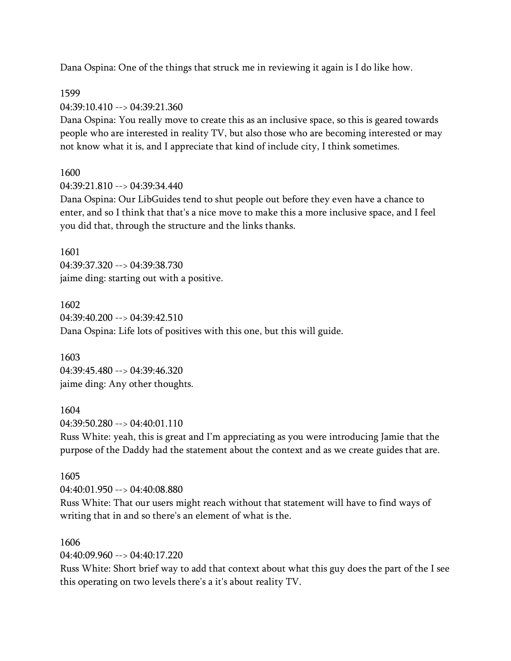Dana Ospina: One of the things that struck me in reviewing it again is I do like how.

1599 04:39:10.410 --> 04:39:21.360

Dana Ospina: You really move to create this as an inclusive space, so this is geared towards people who are interested in reality TV, but also those who are becoming interested or may not know what it is, and I appreciate that kind of include city, I think sometimes.

1600

04:39:21.810 --> 04:39:34.440

Dana Ospina: Our LibGuides tend to shut people out before they even have a chance to enter, and so I think that that's a nice move to make this a more inclusive space, and I feel you did that, through the structure and the links thanks.

1601 04:39:37.320 --> 04:39:38.730 jaime ding: starting out with a positive.

1602 04:39:40.200 --> 04:39:42.510 Dana Ospina: Life lots of positives with this one, but this will guide.

1603 04:39:45.480 --> 04:39:46.320 jaime ding: Any other thoughts.

1604

04:39:50.280 --> 04:40:01.110

Russ White: yeah, this is great and I'm appreciating as you were introducing Jamie that the purpose of the Daddy had the statement about the context and as we create guides that are.

1605 04:40:01.950 --> 04:40:08.880

Russ White: That our users might reach without that statement will have to find ways of writing that in and so there's an element of what is the.

1606

04:40:09.960 --> 04:40:17.220

Russ White: Short brief way to add that context about what this guy does the part of the I see this operating on two levels there's a it's about reality TV.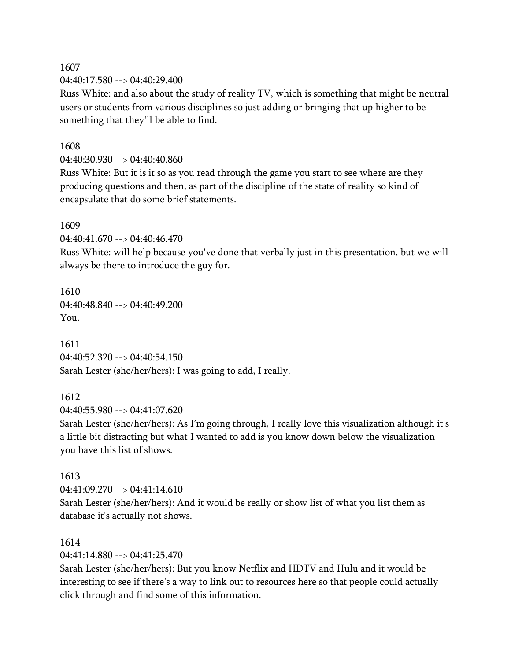04:40:17.580 --> 04:40:29.400

Russ White: and also about the study of reality TV, which is something that might be neutral users or students from various disciplines so just adding or bringing that up higher to be something that they'll be able to find.

#### 1608

04:40:30.930 --> 04:40:40.860

Russ White: But it is it so as you read through the game you start to see where are they producing questions and then, as part of the discipline of the state of reality so kind of encapsulate that do some brief statements.

#### 1609

04:40:41.670 --> 04:40:46.470

Russ White: will help because you've done that verbally just in this presentation, but we will always be there to introduce the guy for.

1610  $04:40:48.840 \rightarrow 04:40:49.200$ You.

1611 04:40:52.320 --> 04:40:54.150 Sarah Lester (she/her/hers): I was going to add, I really.

#### 1612

 $04:40:55.980 \rightarrow 04:41:07.620$ 

Sarah Lester (she/her/hers): As I'm going through, I really love this visualization although it's a little bit distracting but what I wanted to add is you know down below the visualization you have this list of shows.

#### 1613

04:41:09.270 --> 04:41:14.610

Sarah Lester (she/her/hers): And it would be really or show list of what you list them as database it's actually not shows.

#### 1614

04:41:14.880 --> 04:41:25.470

Sarah Lester (she/her/hers): But you know Netflix and HDTV and Hulu and it would be interesting to see if there's a way to link out to resources here so that people could actually click through and find some of this information.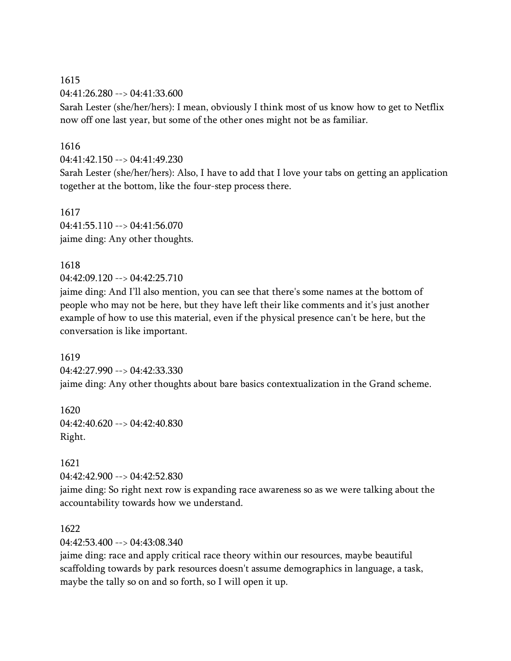04:41:26.280 --> 04:41:33.600

Sarah Lester (she/her/hers): I mean, obviously I think most of us know how to get to Netflix now off one last year, but some of the other ones might not be as familiar.

## 1616

04:41:42.150 --> 04:41:49.230

Sarah Lester (she/her/hers): Also, I have to add that I love your tabs on getting an application together at the bottom, like the four-step process there.

#### 1617

 $04:41:55.110 \rightarrow 04:41:56.070$ jaime ding: Any other thoughts.

## 1618

04:42:09.120 --> 04:42:25.710

jaime ding: And I'll also mention, you can see that there's some names at the bottom of people who may not be here, but they have left their like comments and it's just another example of how to use this material, even if the physical presence can't be here, but the conversation is like important.

# 1619 04:42:27.990 --> 04:42:33.330 jaime ding: Any other thoughts about bare basics contextualization in the Grand scheme.

1620 04:42:40.620 --> 04:42:40.830 Right.

## 1621

04:42:42.900 --> 04:42:52.830

jaime ding: So right next row is expanding race awareness so as we were talking about the accountability towards how we understand.

## 1622

04:42:53.400 --> 04:43:08.340

jaime ding: race and apply critical race theory within our resources, maybe beautiful scaffolding towards by park resources doesn't assume demographics in language, a task, maybe the tally so on and so forth, so I will open it up.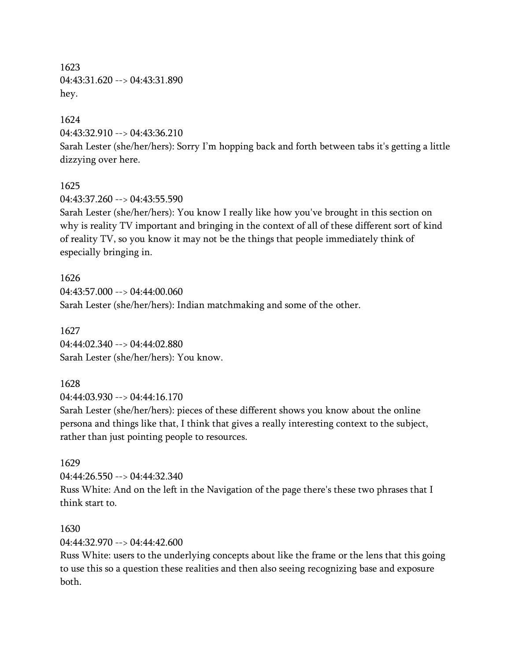1623 04:43:31.620 --> 04:43:31.890 hey.

1624

04:43:32.910 --> 04:43:36.210

Sarah Lester (she/her/hers): Sorry I'm hopping back and forth between tabs it's getting a little dizzying over here.

#### 1625

 $04.43.37.260 -\ge 04.43.55.590$ 

Sarah Lester (she/her/hers): You know I really like how you've brought in this section on why is reality TV important and bringing in the context of all of these different sort of kind of reality TV, so you know it may not be the things that people immediately think of especially bringing in.

1626 04:43:57.000 --> 04:44:00.060 Sarah Lester (she/her/hers): Indian matchmaking and some of the other.

1627 04:44:02.340 --> 04:44:02.880 Sarah Lester (she/her/hers): You know.

## 1628

04:44:03.930 --> 04:44:16.170

Sarah Lester (she/her/hers): pieces of these different shows you know about the online persona and things like that, I think that gives a really interesting context to the subject, rather than just pointing people to resources.

## 1629

 $04:44:26.550 \rightarrow 04:44:32.340$ 

Russ White: And on the left in the Navigation of the page there's these two phrases that I think start to.

## 1630

04:44:32.970 --> 04:44:42.600

Russ White: users to the underlying concepts about like the frame or the lens that this going to use this so a question these realities and then also seeing recognizing base and exposure both.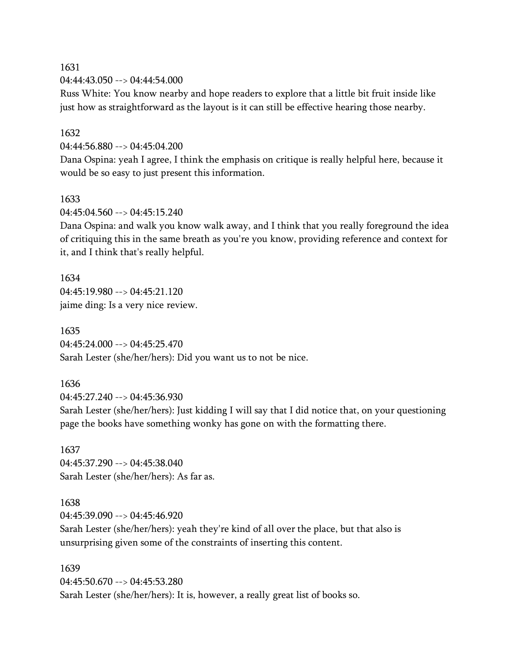1631 04:44:43.050 --> 04:44:54.000

Russ White: You know nearby and hope readers to explore that a little bit fruit inside like just how as straightforward as the layout is it can still be effective hearing those nearby.

1632

04:44:56.880 --> 04:45:04.200

Dana Ospina: yeah I agree, I think the emphasis on critique is really helpful here, because it would be so easy to just present this information.

1633

 $04:45:04.560 \rightarrow 04:45:15.240$ 

Dana Ospina: and walk you know walk away, and I think that you really foreground the idea of critiquing this in the same breath as you're you know, providing reference and context for it, and I think that's really helpful.

1634 04:45:19.980 --> 04:45:21.120 jaime ding: Is a very nice review.

1635 04:45:24.000 --> 04:45:25.470 Sarah Lester (she/her/hers): Did you want us to not be nice.

1636

04:45:27.240 --> 04:45:36.930

Sarah Lester (she/her/hers): Just kidding I will say that I did notice that, on your questioning page the books have something wonky has gone on with the formatting there.

1637 04:45:37.290 --> 04:45:38.040 Sarah Lester (she/her/hers): As far as.

1638

 $04.45.39.090 -\frac{1}{2}04.45.46.920$ 

Sarah Lester (she/her/hers): yeah they're kind of all over the place, but that also is unsurprising given some of the constraints of inserting this content.

1639 04:45:50.670 --> 04:45:53.280 Sarah Lester (she/her/hers): It is, however, a really great list of books so.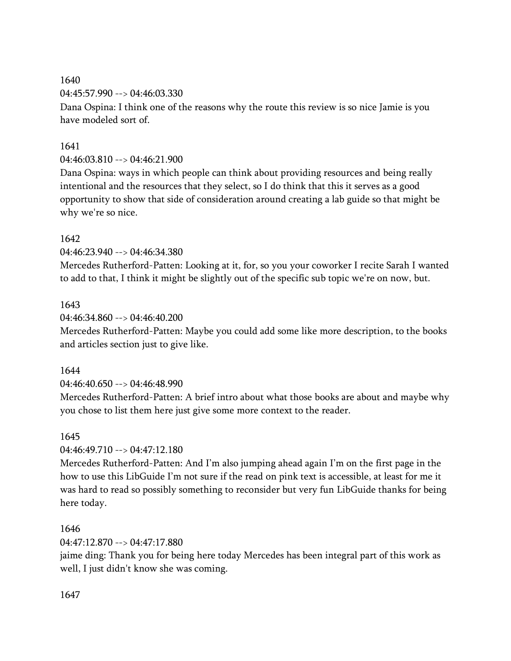1640 04:45:57.990 --> 04:46:03.330

Dana Ospina: I think one of the reasons why the route this review is so nice Jamie is you have modeled sort of.

## 1641

04:46:03.810 --> 04:46:21.900

Dana Ospina: ways in which people can think about providing resources and being really intentional and the resources that they select, so I do think that this it serves as a good opportunity to show that side of consideration around creating a lab guide so that might be why we're so nice.

# 1642

04:46:23.940 --> 04:46:34.380

Mercedes Rutherford-Patten: Looking at it, for, so you your coworker I recite Sarah I wanted to add to that, I think it might be slightly out of the specific sub topic we're on now, but.

# 1643

04:46:34.860 --> 04:46:40.200

Mercedes Rutherford-Patten: Maybe you could add some like more description, to the books and articles section just to give like.

## 1644

04:46:40.650 --> 04:46:48.990

Mercedes Rutherford-Patten: A brief intro about what those books are about and maybe why you chose to list them here just give some more context to the reader.

## 1645

04:46:49.710 --> 04:47:12.180

Mercedes Rutherford-Patten: And I'm also jumping ahead again I'm on the first page in the how to use this LibGuide I'm not sure if the read on pink text is accessible, at least for me it was hard to read so possibly something to reconsider but very fun LibGuide thanks for being here today.

# 1646

04:47:12.870 --> 04:47:17.880

jaime ding: Thank you for being here today Mercedes has been integral part of this work as well, I just didn't know she was coming.

## 1647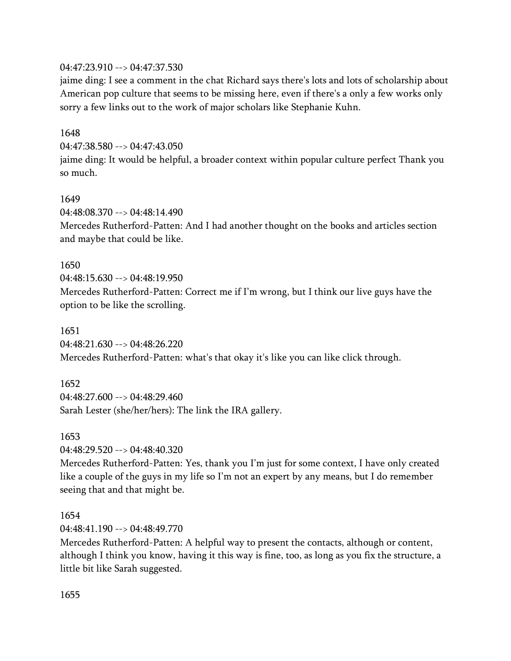## 04:47:23.910 --> 04:47:37.530

jaime ding: I see a comment in the chat Richard says there's lots and lots of scholarship about American pop culture that seems to be missing here, even if there's a only a few works only sorry a few links out to the work of major scholars like Stephanie Kuhn.

## 1648

04:47:38.580 --> 04:47:43.050

jaime ding: It would be helpful, a broader context within popular culture perfect Thank you so much.

#### 1649

04:48:08.370 --> 04:48:14.490

Mercedes Rutherford-Patten: And I had another thought on the books and articles section and maybe that could be like.

#### 1650

04:48:15.630 --> 04:48:19.950 Mercedes Rutherford-Patten: Correct me if I'm wrong, but I think our live guys have the option to be like the scrolling.

## 1651

04:48:21.630 --> 04:48:26.220 Mercedes Rutherford-Patten: what's that okay it's like you can like click through.

## 1652

04:48:27.600 --> 04:48:29.460 Sarah Lester (she/her/hers): The link the IRA gallery.

#### 1653

04:48:29.520 --> 04:48:40.320

Mercedes Rutherford-Patten: Yes, thank you I'm just for some context, I have only created like a couple of the guys in my life so I'm not an expert by any means, but I do remember seeing that and that might be.

#### 1654

04:48:41.190 --> 04:48:49.770

Mercedes Rutherford-Patten: A helpful way to present the contacts, although or content, although I think you know, having it this way is fine, too, as long as you fix the structure, a little bit like Sarah suggested.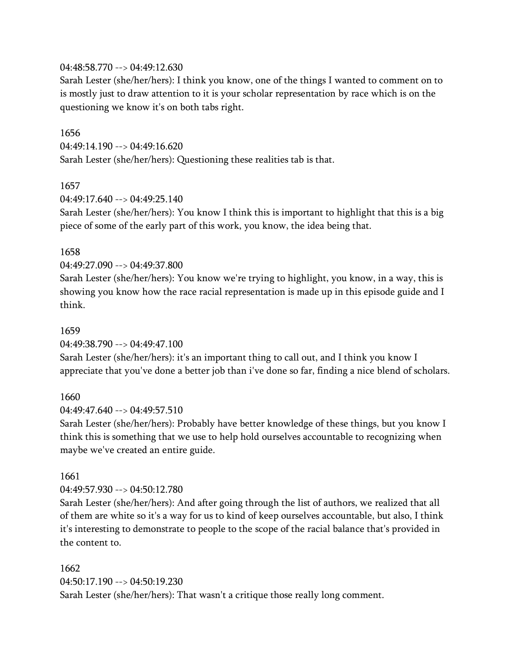#### 04:48:58.770 --> 04:49:12.630

Sarah Lester (she/her/hers): I think you know, one of the things I wanted to comment on to is mostly just to draw attention to it is your scholar representation by race which is on the questioning we know it's on both tabs right.

#### 1656

 $04:49:14.190 \rightarrow 04:49:16.620$ Sarah Lester (she/her/hers): Questioning these realities tab is that.

#### 1657

 $04.49.17.640 -\ge 04.49.25.140$ 

Sarah Lester (she/her/hers): You know I think this is important to highlight that this is a big piece of some of the early part of this work, you know, the idea being that.

#### 1658

04:49:27.090 --> 04:49:37.800

Sarah Lester (she/her/hers): You know we're trying to highlight, you know, in a way, this is showing you know how the race racial representation is made up in this episode guide and I think.

#### 1659

04:49:38.790 --> 04:49:47.100

Sarah Lester (she/her/hers): it's an important thing to call out, and I think you know I appreciate that you've done a better job than i've done so far, finding a nice blend of scholars.

#### 1660

 $04:49:47.640 \rightarrow 04:49:57.510$ 

Sarah Lester (she/her/hers): Probably have better knowledge of these things, but you know I think this is something that we use to help hold ourselves accountable to recognizing when maybe we've created an entire guide.

#### 1661

04:49:57.930 --> 04:50:12.780

Sarah Lester (she/her/hers): And after going through the list of authors, we realized that all of them are white so it's a way for us to kind of keep ourselves accountable, but also, I think it's interesting to demonstrate to people to the scope of the racial balance that's provided in the content to.

# 1662 04:50:17.190 --> 04:50:19.230 Sarah Lester (she/her/hers): That wasn't a critique those really long comment.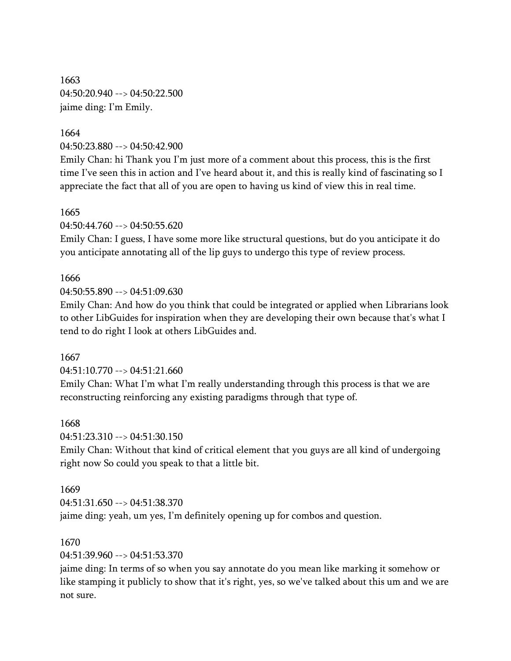1663 04:50:20.940 --> 04:50:22.500 jaime ding: I'm Emily.

1664 04:50:23.880 --> 04:50:42.900

Emily Chan: hi Thank you I'm just more of a comment about this process, this is the first time I've seen this in action and I've heard about it, and this is really kind of fascinating so I appreciate the fact that all of you are open to having us kind of view this in real time.

## 1665

04:50:44.760 --> 04:50:55.620

Emily Chan: I guess, I have some more like structural questions, but do you anticipate it do you anticipate annotating all of the lip guys to undergo this type of review process.

# 1666

04:50:55.890 --> 04:51:09.630

Emily Chan: And how do you think that could be integrated or applied when Librarians look to other LibGuides for inspiration when they are developing their own because that's what I tend to do right I look at others LibGuides and.

## 1667

04:51:10.770 --> 04:51:21.660

Emily Chan: What I'm what I'm really understanding through this process is that we are reconstructing reinforcing any existing paradigms through that type of.

## 1668

04:51:23.310 --> 04:51:30.150

Emily Chan: Without that kind of critical element that you guys are all kind of undergoing right now So could you speak to that a little bit.

## 1669

04:51:31.650 --> 04:51:38.370 jaime ding: yeah, um yes, I'm definitely opening up for combos and question.

## 1670

04:51:39.960 --> 04:51:53.370

jaime ding: In terms of so when you say annotate do you mean like marking it somehow or like stamping it publicly to show that it's right, yes, so we've talked about this um and we are not sure.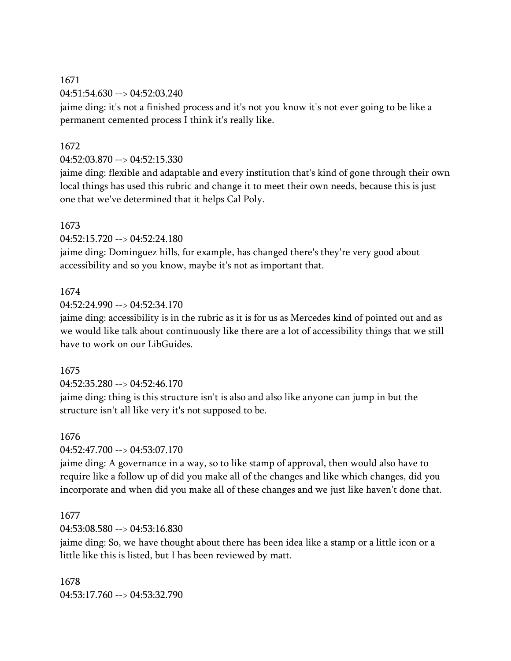04:51:54.630 --> 04:52:03.240

jaime ding: it's not a finished process and it's not you know it's not ever going to be like a permanent cemented process I think it's really like.

## 1672

04:52:03.870 --> 04:52:15.330

jaime ding: flexible and adaptable and every institution that's kind of gone through their own local things has used this rubric and change it to meet their own needs, because this is just one that we've determined that it helps Cal Poly.

#### 1673

04:52:15.720 --> 04:52:24.180

jaime ding: Dominguez hills, for example, has changed there's they're very good about accessibility and so you know, maybe it's not as important that.

## 1674

 $04:52:24.990 \rightarrow 04:52:34.170$ 

jaime ding: accessibility is in the rubric as it is for us as Mercedes kind of pointed out and as we would like talk about continuously like there are a lot of accessibility things that we still have to work on our LibGuides.

#### 1675

04:52:35.280 --> 04:52:46.170

jaime ding: thing is this structure isn't is also and also like anyone can jump in but the structure isn't all like very it's not supposed to be.

## 1676

04:52:47.700 --> 04:53:07.170

jaime ding: A governance in a way, so to like stamp of approval, then would also have to require like a follow up of did you make all of the changes and like which changes, did you incorporate and when did you make all of these changes and we just like haven't done that.

## 1677

04:53:08.580 --> 04:53:16.830

jaime ding: So, we have thought about there has been idea like a stamp or a little icon or a little like this is listed, but I has been reviewed by matt.

1678 04:53:17.760 --> 04:53:32.790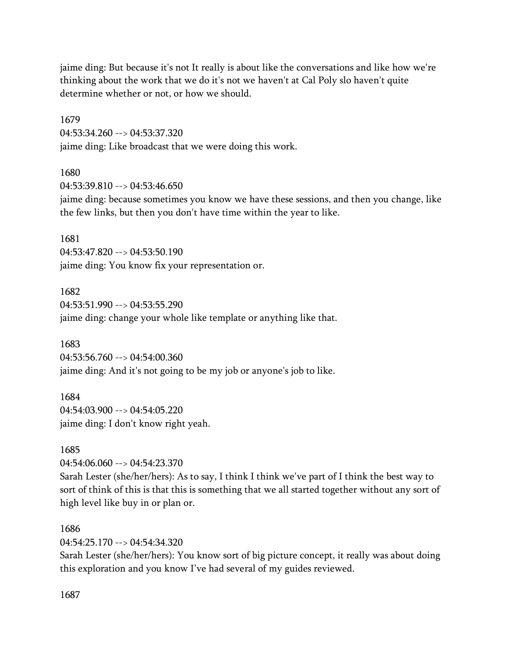jaime ding: But because it's not It really is about like the conversations and like how we're thinking about the work that we do it's not we haven't at Cal Poly slo haven't quite determine whether or not, or how we should.

1679 04:53:34.260 --> 04:53:37.320 jaime ding: Like broadcast that we were doing this work.

1680 04:53:39.810 --> 04:53:46.650

jaime ding: because sometimes you know we have these sessions, and then you change, like the few links, but then you don't have time within the year to like.

1681 04:53:47.820 --> 04:53:50.190 jaime ding: You know fix your representation or.

1682  $04:53:51.990 \rightarrow 04:53:55.290$ jaime ding: change your whole like template or anything like that.

1683 04:53:56.760 --> 04:54:00.360 jaime ding: And it's not going to be my job or anyone's job to like.

1684 04:54:03.900 --> 04:54:05.220 jaime ding: I don't know right yeah.

1685 04:54:06.060 --> 04:54:23.370

Sarah Lester (she/her/hers): As to say, I think I think we've part of I think the best way to sort of think of this is that this is something that we all started together without any sort of high level like buy in or plan or.

1686

04:54:25.170 --> 04:54:34.320

Sarah Lester (she/her/hers): You know sort of big picture concept, it really was about doing this exploration and you know I've had several of my guides reviewed.

1687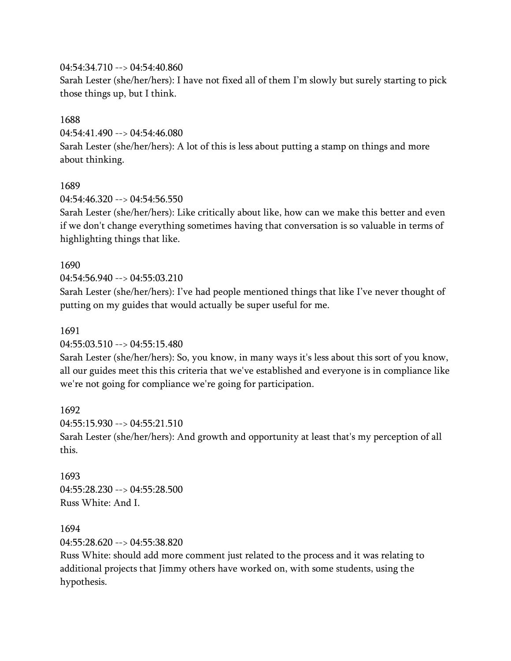## 04:54:34.710 --> 04:54:40.860

Sarah Lester (she/her/hers): I have not fixed all of them I'm slowly but surely starting to pick those things up, but I think.

## 1688

04:54:41.490 --> 04:54:46.080

Sarah Lester (she/her/hers): A lot of this is less about putting a stamp on things and more about thinking.

## 1689

 $04.54.46.320 -\ge 04.54.56.550$ 

Sarah Lester (she/her/hers): Like critically about like, how can we make this better and even if we don't change everything sometimes having that conversation is so valuable in terms of highlighting things that like.

## 1690

04:54:56.940 --> 04:55:03.210

Sarah Lester (she/her/hers): I've had people mentioned things that like I've never thought of putting on my guides that would actually be super useful for me.

## 1691

04:55:03.510 --> 04:55:15.480

Sarah Lester (she/her/hers): So, you know, in many ways it's less about this sort of you know, all our guides meet this this criteria that we've established and everyone is in compliance like we're not going for compliance we're going for participation.

1692  $04:55:15.930 \rightarrow 04:55:21.510$ Sarah Lester (she/her/hers): And growth and opportunity at least that's my perception of all this.

1693 04:55:28.230 --> 04:55:28.500 Russ White: And I.

## 1694

04:55:28.620 --> 04:55:38.820

Russ White: should add more comment just related to the process and it was relating to additional projects that Jimmy others have worked on, with some students, using the hypothesis.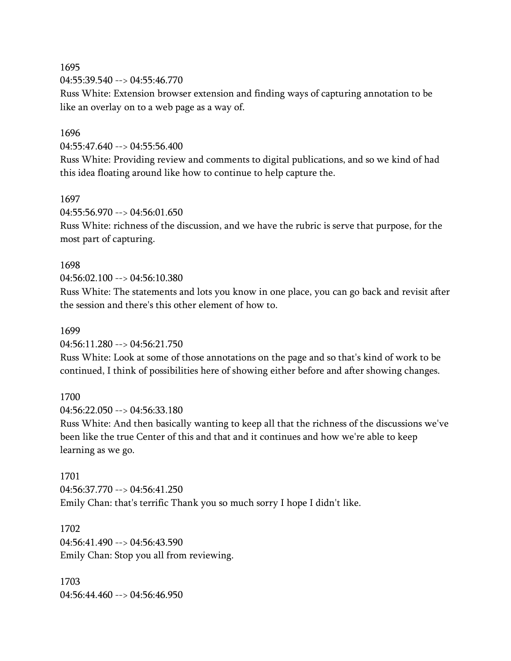04:55:39.540 --> 04:55:46.770

Russ White: Extension browser extension and finding ways of capturing annotation to be like an overlay on to a web page as a way of.

#### 1696

04:55:47.640 --> 04:55:56.400

Russ White: Providing review and comments to digital publications, and so we kind of had this idea floating around like how to continue to help capture the.

#### 1697

 $04:55:56.970 \rightarrow 04:56:01.650$ 

Russ White: richness of the discussion, and we have the rubric is serve that purpose, for the most part of capturing.

#### 1698

04:56:02.100 --> 04:56:10.380

Russ White: The statements and lots you know in one place, you can go back and revisit after the session and there's this other element of how to.

#### 1699

04:56:11.280 --> 04:56:21.750

Russ White: Look at some of those annotations on the page and so that's kind of work to be continued, I think of possibilities here of showing either before and after showing changes.

#### 1700

04:56:22.050 --> 04:56:33.180

Russ White: And then basically wanting to keep all that the richness of the discussions we've been like the true Center of this and that and it continues and how we're able to keep learning as we go.

1701 04:56:37.770 --> 04:56:41.250 Emily Chan: that's terrific Thank you so much sorry I hope I didn't like.

1702 04:56:41.490 --> 04:56:43.590 Emily Chan: Stop you all from reviewing.

1703  $04:56:44.460 \rightarrow 04:56:46.950$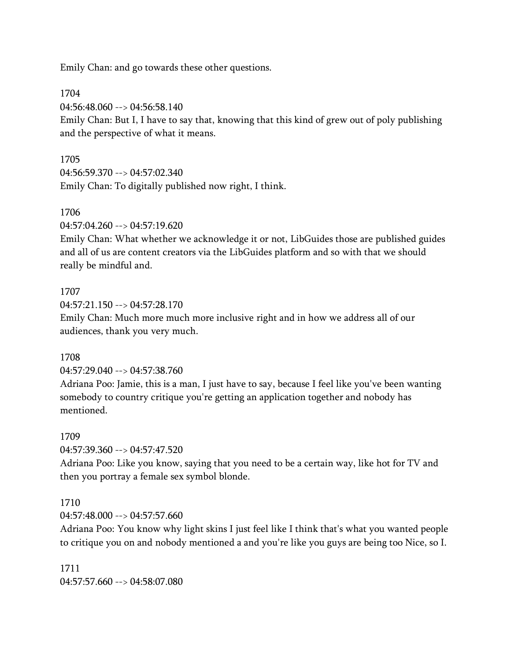Emily Chan: and go towards these other questions.

1704

04:56:48.060 --> 04:56:58.140

Emily Chan: But I, I have to say that, knowing that this kind of grew out of poly publishing and the perspective of what it means.

## 1705

04:56:59.370 --> 04:57:02.340

Emily Chan: To digitally published now right, I think.

## 1706

04:57:04.260 --> 04:57:19.620

Emily Chan: What whether we acknowledge it or not, LibGuides those are published guides and all of us are content creators via the LibGuides platform and so with that we should really be mindful and.

## 1707

04:57:21.150 --> 04:57:28.170

Emily Chan: Much more much more inclusive right and in how we address all of our audiences, thank you very much.

## 1708

#### 04:57:29.040 --> 04:57:38.760

Adriana Poo: Jamie, this is a man, I just have to say, because I feel like you've been wanting somebody to country critique you're getting an application together and nobody has mentioned.

#### 1709

04:57:39.360 --> 04:57:47.520

Adriana Poo: Like you know, saying that you need to be a certain way, like hot for TV and then you portray a female sex symbol blonde.

## 1710

04:57:48.000 --> 04:57:57.660

Adriana Poo: You know why light skins I just feel like I think that's what you wanted people to critique you on and nobody mentioned a and you're like you guys are being too Nice, so I.

1711 04:57:57.660 --> 04:58:07.080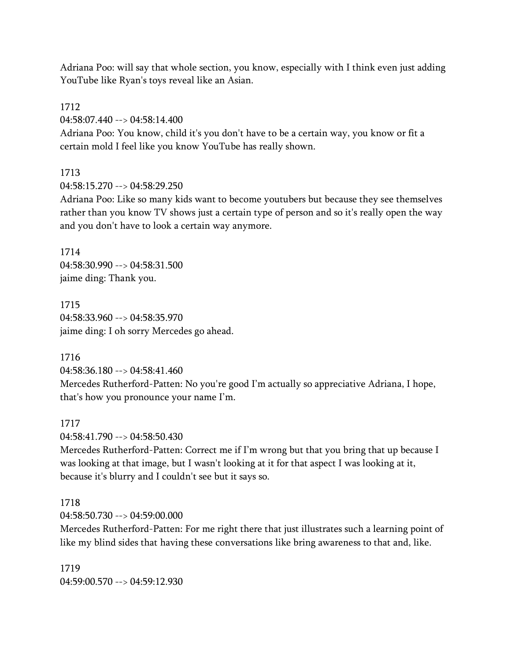Adriana Poo: will say that whole section, you know, especially with I think even just adding YouTube like Ryan's toys reveal like an Asian.

1712

04:58:07.440 --> 04:58:14.400

Adriana Poo: You know, child it's you don't have to be a certain way, you know or fit a certain mold I feel like you know YouTube has really shown.

1713

04:58:15.270 --> 04:58:29.250

Adriana Poo: Like so many kids want to become youtubers but because they see themselves rather than you know TV shows just a certain type of person and so it's really open the way and you don't have to look a certain way anymore.

1714 04:58:30.990 --> 04:58:31.500 jaime ding: Thank you.

1715 04:58:33.960 --> 04:58:35.970 jaime ding: I oh sorry Mercedes go ahead.

1716

04:58:36.180 --> 04:58:41.460

Mercedes Rutherford-Patten: No you're good I'm actually so appreciative Adriana, I hope, that's how you pronounce your name I'm.

1717

04:58:41.790 --> 04:58:50.430

Mercedes Rutherford-Patten: Correct me if I'm wrong but that you bring that up because I was looking at that image, but I wasn't looking at it for that aspect I was looking at it, because it's blurry and I couldn't see but it says so.

#### 1718

 $04.58.50$  730 -->  $04.59.00$  000

Mercedes Rutherford-Patten: For me right there that just illustrates such a learning point of like my blind sides that having these conversations like bring awareness to that and, like.

1719 04:59:00.570 --> 04:59:12.930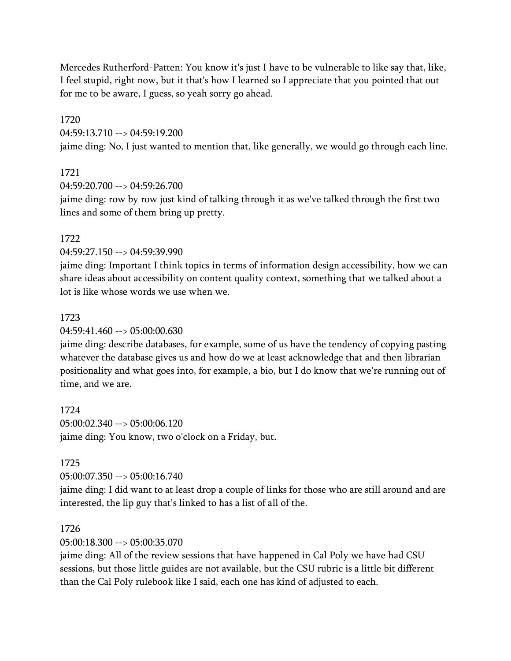Mercedes Rutherford-Patten: You know it's just I have to be vulnerable to like say that, like, I feel stupid, right now, but it that's how I learned so I appreciate that you pointed that out for me to be aware, I guess, so yeah sorry go ahead.

1720 04:59:13.710 --> 04:59:19.200

jaime ding: No, I just wanted to mention that, like generally, we would go through each line.

#### 1721

04:59:20.700 --> 04:59:26.700

jaime ding: row by row just kind of talking through it as we've talked through the first two lines and some of them bring up pretty.

#### 1722

04:59:27.150 --> 04:59:39.990

jaime ding: Important I think topics in terms of information design accessibility, how we can share ideas about accessibility on content quality context, something that we talked about a lot is like whose words we use when we.

#### 1723

04:59:41.460 --> 05:00:00.630

jaime ding: describe databases, for example, some of us have the tendency of copying pasting whatever the database gives us and how do we at least acknowledge that and then librarian positionality and what goes into, for example, a bio, but I do know that we're running out of time, and we are.

1724 05:00:02.340 --> 05:00:06.120 jaime ding: You know, two o'clock on a Friday, but.

#### 1725

05:00:07.350 --> 05:00:16.740

jaime ding: I did want to at least drop a couple of links for those who are still around and are interested, the lip guy that's linked to has a list of all of the.

#### 1726

05:00:18.300 --> 05:00:35.070

jaime ding: All of the review sessions that have happened in Cal Poly we have had CSU sessions, but those little guides are not available, but the CSU rubric is a little bit different than the Cal Poly rulebook like I said, each one has kind of adjusted to each.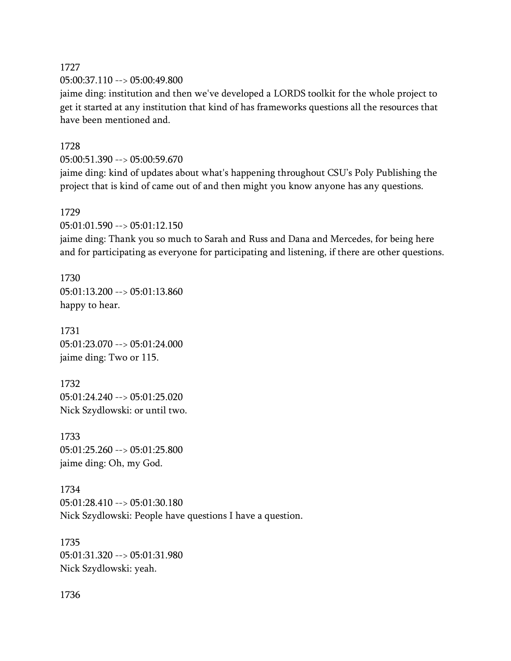1727 05:00:37.110 --> 05:00:49.800

jaime ding: institution and then we've developed a LORDS toolkit for the whole project to get it started at any institution that kind of has frameworks questions all the resources that have been mentioned and.

## 1728

05:00:51.390 --> 05:00:59.670

jaime ding: kind of updates about what's happening throughout CSU's Poly Publishing the project that is kind of came out of and then might you know anyone has any questions.

#### 1729

05:01:01.590 --> 05:01:12.150

jaime ding: Thank you so much to Sarah and Russ and Dana and Mercedes, for being here and for participating as everyone for participating and listening, if there are other questions.

1730 05:01:13.200 --> 05:01:13.860 happy to hear.

1731 05:01:23.070 --> 05:01:24.000 jaime ding: Two or 115.

1732 05:01:24.240 --> 05:01:25.020 Nick Szydlowski: or until two.

1733 05:01:25.260 --> 05:01:25.800 jaime ding: Oh, my God.

1734 05:01:28.410 --> 05:01:30.180 Nick Szydlowski: People have questions I have a question.

1735 05:01:31.320 --> 05:01:31.980 Nick Szydlowski: yeah.

1736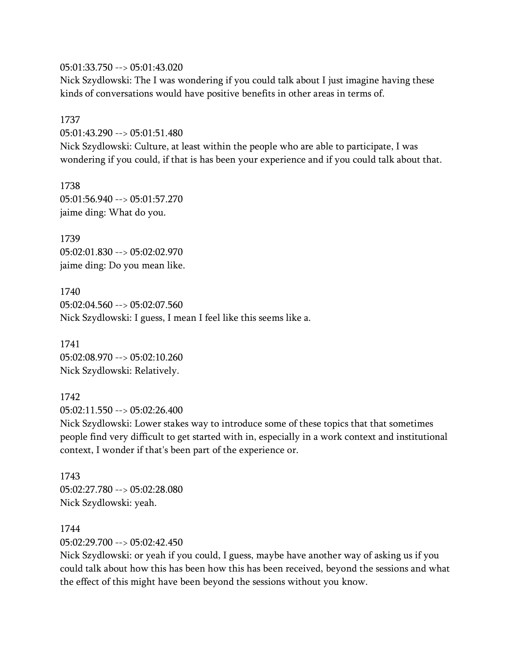05:01:33.750 --> 05:01:43.020

Nick Szydlowski: The I was wondering if you could talk about I just imagine having these kinds of conversations would have positive benefits in other areas in terms of.

1737 05:01:43.290 --> 05:01:51.480 Nick Szydlowski: Culture, at least within the people who are able to participate, I was wondering if you could, if that is has been your experience and if you could talk about that.

1738 05:01:56.940 --> 05:01:57.270 jaime ding: What do you.

1739 05:02:01.830 --> 05:02:02.970 jaime ding: Do you mean like.

1740 05:02:04.560 --> 05:02:07.560 Nick Szydlowski: I guess, I mean I feel like this seems like a.

1741 05:02:08.970 --> 05:02:10.260 Nick Szydlowski: Relatively.

1742 05:02:11.550 --> 05:02:26.400

Nick Szydlowski: Lower stakes way to introduce some of these topics that that sometimes people find very difficult to get started with in, especially in a work context and institutional context, I wonder if that's been part of the experience or.

1743 05:02:27.780 --> 05:02:28.080 Nick Szydlowski: yeah.

1744 05:02:29.700 --> 05:02:42.450

Nick Szydlowski: or yeah if you could, I guess, maybe have another way of asking us if you could talk about how this has been how this has been received, beyond the sessions and what the effect of this might have been beyond the sessions without you know.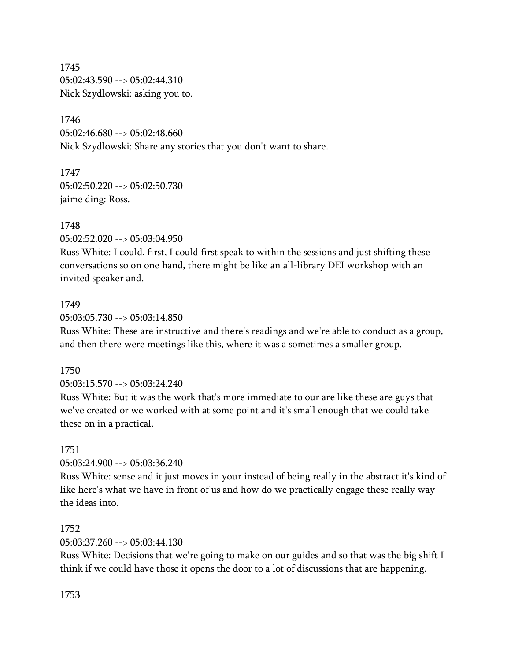1745 05:02:43.590 --> 05:02:44.310 Nick Szydlowski: asking you to.

1746 05:02:46.680 --> 05:02:48.660 Nick Szydlowski: Share any stories that you don't want to share.

1747 05:02:50.220 --> 05:02:50.730 jaime ding: Ross.

1748 05:02:52.020 --> 05:03:04.950

Russ White: I could, first, I could first speak to within the sessions and just shifting these conversations so on one hand, there might be like an all-library DEI workshop with an invited speaker and.

#### 1749

05:03:05.730 --> 05:03:14.850

Russ White: These are instructive and there's readings and we're able to conduct as a group, and then there were meetings like this, where it was a sometimes a smaller group.

#### 1750

05:03:15.570 --> 05:03:24.240

Russ White: But it was the work that's more immediate to our are like these are guys that we've created or we worked with at some point and it's small enough that we could take these on in a practical.

#### 1751

05:03:24.900 --> 05:03:36.240

Russ White: sense and it just moves in your instead of being really in the abstract it's kind of like here's what we have in front of us and how do we practically engage these really way the ideas into.

#### 1752

05:03:37.260 --> 05:03:44.130

Russ White: Decisions that we're going to make on our guides and so that was the big shift I think if we could have those it opens the door to a lot of discussions that are happening.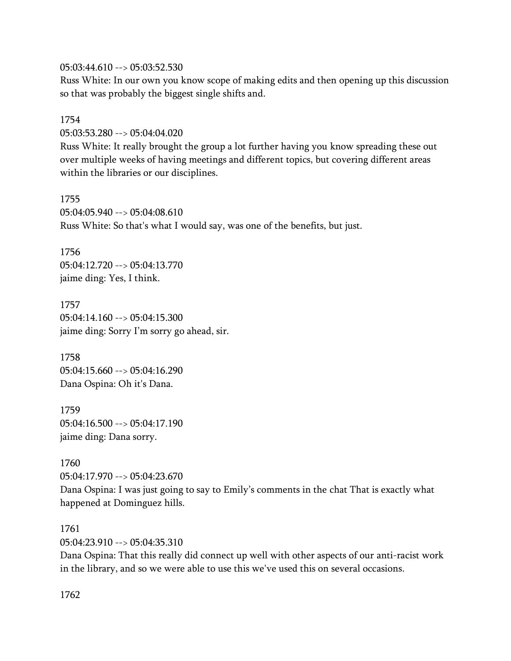05:03:44.610 --> 05:03:52.530

Russ White: In our own you know scope of making edits and then opening up this discussion so that was probably the biggest single shifts and.

1754 05:03:53.280 --> 05:04:04.020

Russ White: It really brought the group a lot further having you know spreading these out over multiple weeks of having meetings and different topics, but covering different areas within the libraries or our disciplines.

1755  $05:04:05.940 \rightarrow 05:04:08.610$ Russ White: So that's what I would say, was one of the benefits, but just.

1756 05:04:12.720 --> 05:04:13.770 jaime ding: Yes, I think.

1757 05:04:14.160 --> 05:04:15.300 jaime ding: Sorry I'm sorry go ahead, sir.

1758 05:04:15.660 --> 05:04:16.290 Dana Ospina: Oh it's Dana.

1759 05:04:16.500 --> 05:04:17.190 jaime ding: Dana sorry.

1760 05:04:17.970 --> 05:04:23.670 Dana Ospina: I was just going to say to Emily's comments in the chat That is exactly what happened at Dominguez hills.

1761 05:04:23.910 --> 05:04:35.310

Dana Ospina: That this really did connect up well with other aspects of our anti-racist work in the library, and so we were able to use this we've used this on several occasions.

1762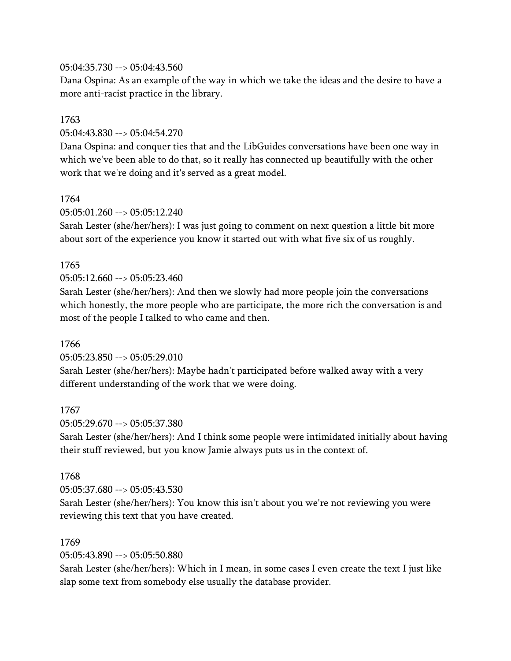## 05:04:35.730 --> 05:04:43.560

Dana Ospina: As an example of the way in which we take the ideas and the desire to have a more anti-racist practice in the library.

## 1763

05:04:43.830 --> 05:04:54.270

Dana Ospina: and conquer ties that and the LibGuides conversations have been one way in which we've been able to do that, so it really has connected up beautifully with the other work that we're doing and it's served as a great model.

#### 1764

 $05:05:01.260 \rightarrow 05:05:12.240$ 

Sarah Lester (she/her/hers): I was just going to comment on next question a little bit more about sort of the experience you know it started out with what five six of us roughly.

## 1765

05:05:12.660 --> 05:05:23.460

Sarah Lester (she/her/hers): And then we slowly had more people join the conversations which honestly, the more people who are participate, the more rich the conversation is and most of the people I talked to who came and then.

#### 1766

05:05:23.850 --> 05:05:29.010

Sarah Lester (she/her/hers): Maybe hadn't participated before walked away with a very different understanding of the work that we were doing.

#### 1767

05:05:29.670 --> 05:05:37.380

Sarah Lester (she/her/hers): And I think some people were intimidated initially about having their stuff reviewed, but you know Jamie always puts us in the context of.

#### 1768

05:05:37.680 --> 05:05:43.530

Sarah Lester (she/her/hers): You know this isn't about you we're not reviewing you were reviewing this text that you have created.

#### 1769

05:05:43.890 --> 05:05:50.880

Sarah Lester (she/her/hers): Which in I mean, in some cases I even create the text I just like slap some text from somebody else usually the database provider.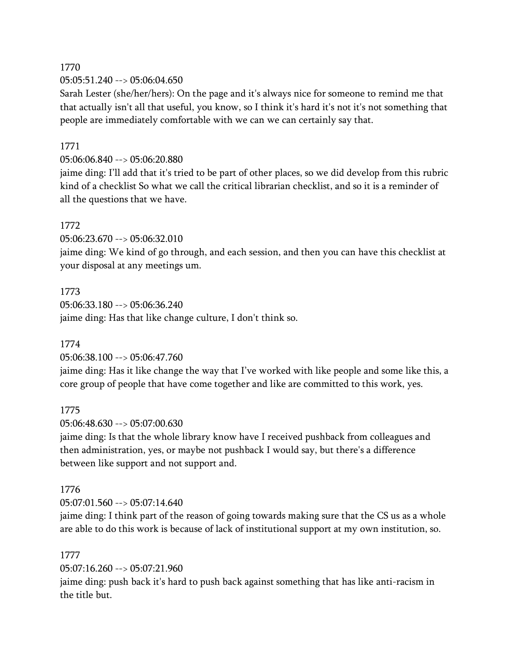05:05:51.240 --> 05:06:04.650

Sarah Lester (she/her/hers): On the page and it's always nice for someone to remind me that that actually isn't all that useful, you know, so I think it's hard it's not it's not something that people are immediately comfortable with we can we can certainly say that.

## 1771

05:06:06.840 --> 05:06:20.880

jaime ding: I'll add that it's tried to be part of other places, so we did develop from this rubric kind of a checklist So what we call the critical librarian checklist, and so it is a reminder of all the questions that we have.

#### 1772

05:06:23.670 --> 05:06:32.010

jaime ding: We kind of go through, and each session, and then you can have this checklist at your disposal at any meetings um.

1773 05:06:33.180 --> 05:06:36.240 jaime ding: Has that like change culture, I don't think so.

1774

05:06:38.100 --> 05:06:47.760

jaime ding: Has it like change the way that I've worked with like people and some like this, a core group of people that have come together and like are committed to this work, yes.

1775

05:06:48.630 --> 05:07:00.630

jaime ding: Is that the whole library know have I received pushback from colleagues and then administration, yes, or maybe not pushback I would say, but there's a difference between like support and not support and.

#### 1776

 $05:07:01.560 \rightarrow 05:07:14.640$ 

jaime ding: I think part of the reason of going towards making sure that the CS us as a whole are able to do this work is because of lack of institutional support at my own institution, so.

#### 1777

05:07:16.260 --> 05:07:21.960

jaime ding: push back it's hard to push back against something that has like anti-racism in the title but.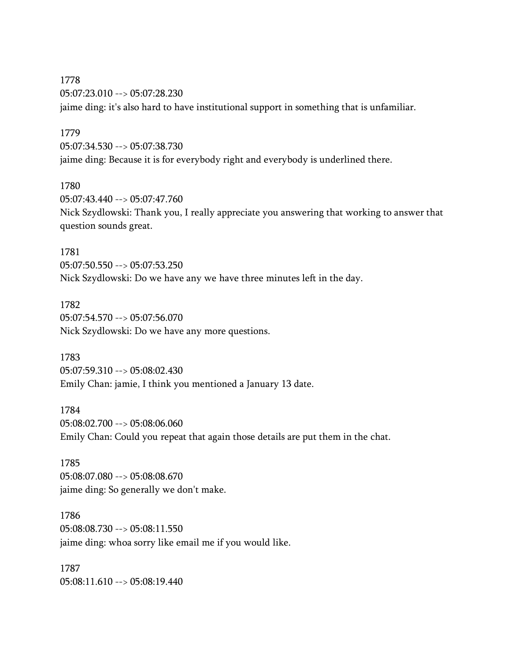1778 05:07:23.010 --> 05:07:28.230 jaime ding: it's also hard to have institutional support in something that is unfamiliar.

1779

05:07:34.530 --> 05:07:38.730 jaime ding: Because it is for everybody right and everybody is underlined there.

1780

05:07:43.440 --> 05:07:47.760 Nick Szydlowski: Thank you, I really appreciate you answering that working to answer that question sounds great.

1781 05:07:50.550 --> 05:07:53.250 Nick Szydlowski: Do we have any we have three minutes left in the day.

1782 05:07:54.570 --> 05:07:56.070 Nick Szydlowski: Do we have any more questions.

1783 05:07:59.310 --> 05:08:02.430 Emily Chan: jamie, I think you mentioned a January 13 date.

1784 05:08:02.700 --> 05:08:06.060 Emily Chan: Could you repeat that again those details are put them in the chat.

1785 05:08:07.080 --> 05:08:08.670 jaime ding: So generally we don't make.

1786 05:08:08.730 --> 05:08:11.550 jaime ding: whoa sorry like email me if you would like.

1787 05:08:11.610 --> 05:08:19.440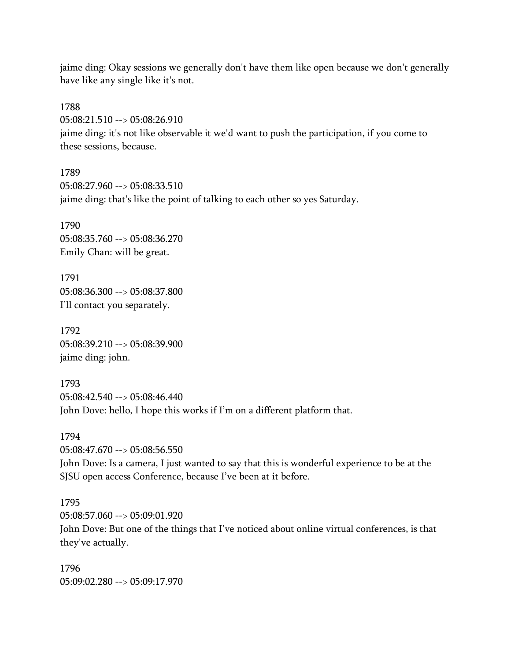jaime ding: Okay sessions we generally don't have them like open because we don't generally have like any single like it's not.

1788 05:08:21.510 --> 05:08:26.910 jaime ding: it's not like observable it we'd want to push the participation, if you come to these sessions, because.

1789 05:08:27.960 --> 05:08:33.510 jaime ding: that's like the point of talking to each other so yes Saturday.

1790 05:08:35.760 --> 05:08:36.270 Emily Chan: will be great.

1791 05:08:36.300 --> 05:08:37.800 I'll contact you separately.

1792 05:08:39.210 --> 05:08:39.900 jaime ding: john.

1793 05:08:42.540 --> 05:08:46.440 John Dove: hello, I hope this works if I'm on a different platform that.

1794 05:08:47.670 --> 05:08:56.550 John Dove: Is a camera, I just wanted to say that this is wonderful experience to be at the SJSU open access Conference, because I've been at it before.

1795  $05.08.57.060 -> 05.09.01.920$ 

John Dove: But one of the things that I've noticed about online virtual conferences, is that they've actually.

1796 05:09:02.280 --> 05:09:17.970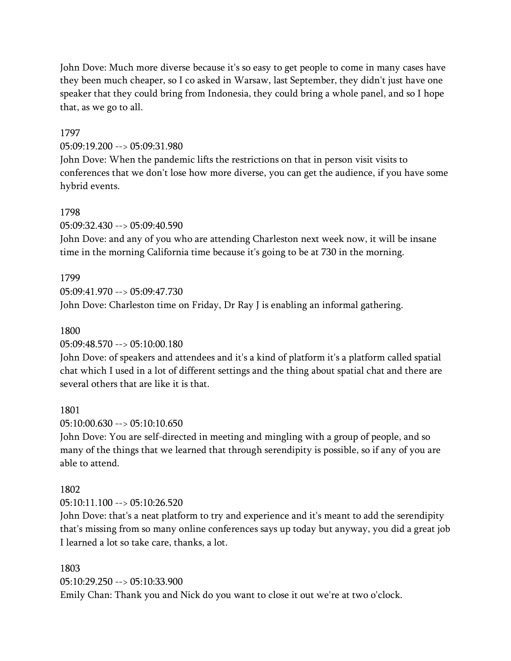John Dove: Much more diverse because it's so easy to get people to come in many cases have they been much cheaper, so I co asked in Warsaw, last September, they didn't just have one speaker that they could bring from Indonesia, they could bring a whole panel, and so I hope that, as we go to all.

#### 1797

#### 05:09:19.200 --> 05:09:31.980

John Dove: When the pandemic lifts the restrictions on that in person visit visits to conferences that we don't lose how more diverse, you can get the audience, if you have some hybrid events.

#### 1798

05:09:32.430 --> 05:09:40.590

John Dove: and any of you who are attending Charleston next week now, it will be insane time in the morning California time because it's going to be at 730 in the morning.

#### 1799

05:09:41.970 --> 05:09:47.730

John Dove: Charleston time on Friday, Dr Ray J is enabling an informal gathering.

#### 1800

05:09:48.570 --> 05:10:00.180

John Dove: of speakers and attendees and it's a kind of platform it's a platform called spatial chat which I used in a lot of different settings and the thing about spatial chat and there are several others that are like it is that.

1801

05:10:00.630 --> 05:10:10.650

John Dove: You are self-directed in meeting and mingling with a group of people, and so many of the things that we learned that through serendipity is possible, so if any of you are able to attend.

#### 1802

 $05:10:11.100 \rightarrow 05:10:26.520$ 

John Dove: that's a neat platform to try and experience and it's meant to add the serendipity that's missing from so many online conferences says up today but anyway, you did a great job I learned a lot so take care, thanks, a lot.

#### 1803

05:10:29.250 --> 05:10:33.900

Emily Chan: Thank you and Nick do you want to close it out we're at two o'clock.